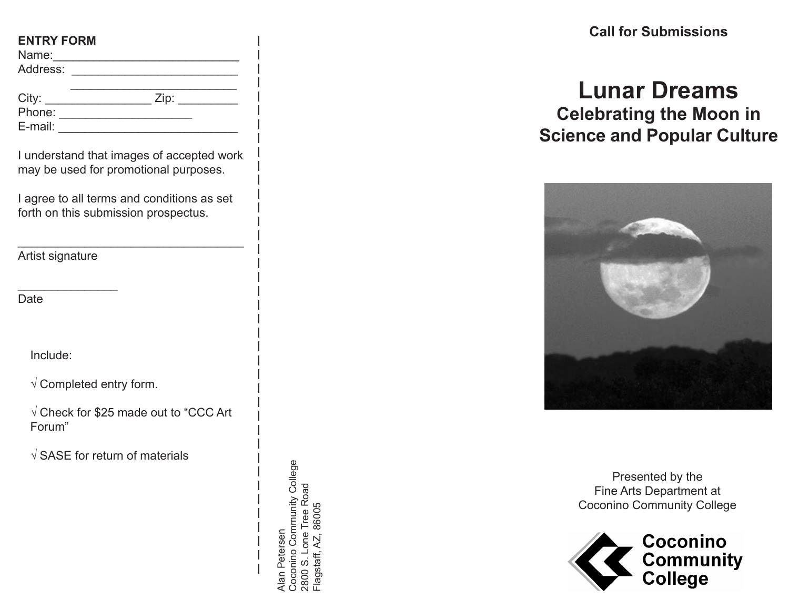### **ENTRY FORM**

| Name:    |  |  |  |             |  |
|----------|--|--|--|-------------|--|
| Address: |  |  |  | ___________ |  |

| City:   | Zip: |
|---------|------|
| Phone:  |      |
| E-mail: |      |
|         |      |

I understand that images of accepted work may be used for promotional purposes.

I agree to all terms and conditions as set forth on this submission prospectus.

\_\_\_\_\_\_\_\_\_\_\_\_\_\_\_\_\_\_\_\_\_\_\_\_\_\_\_\_\_\_\_\_\_\_

Artist signature

 $\overline{\phantom{a}}$ Date

Include:

 $\sqrt{2}$  Completed entry form.

√ Check for \$25 made out to "CCC Art Forum"

√ SASE for return of materials

Coconino Community College Coconino Community College 2800 S. Lone Tree Road<br>Flagstaff, AZ, 86005 2800 S. Lone Tree Road Flagstaff, AZ, 86005 Alan Petersen Alan Petersen

**Call for Submissions** 

# **Lunar Dreams Celebrating the Moon in Science and Popular Culture**



Presented by the Fine Arts Department at Coconino Community College